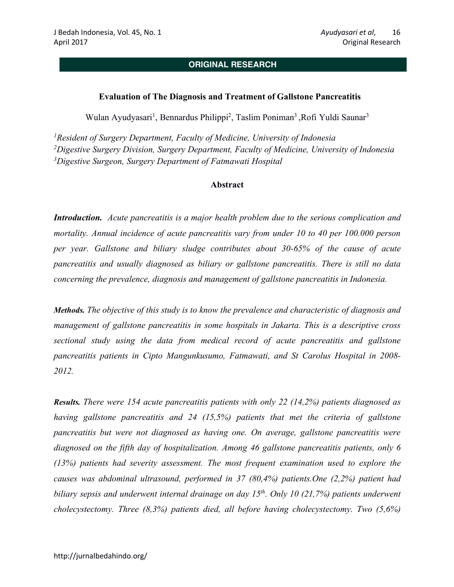# **ORIGINAL RESEARCH**

#### **Evaluation of The Diagnosis and Treatment of Gallstone Pancreatitis**

Wulan Ayudyasari<sup>1</sup>, Bennardus Philippi<sup>2</sup>, Taslim Poniman<sup>3</sup>, Rofi Yuldi Saunar<sup>3</sup>

*1Resident of Surgery Department, Faculty of Medicine, University of Indonesia 2Digestive Surgery Division, Surgery Department, Faculty of Medicine, University of Indonesia 3Digestive Surgeon, Surgery Department of Fatmawati Hospital*

#### **Abstract**

*Introduction.* Acute pancreatitis is a major health problem due to the serious complication and *mortality. Annual incidence of acute pancreatitis vary from under 10 to 40 per 100.000 person per year. Gallstone and biliary sludge contributes about 30-65% of the cause of acute pancreatitis and usually diagnosed as biliary or gallstone pancreatitis. There is still no data concerning the prevalence, diagnosis and management of gallstone pancreatitis in Indonesia.*

*Methods. The objective of this study is to know the prevalence and characteristic of diagnosis and management of gallstone pancreatitis in some hospitals in Jakarta. This is a descriptive cross sectional study using the data from medical record of acute pancreatitis and gallstone pancreatitis patients in Cipto Mangunkusumo, Fatmawati, and St Carolus Hospital in 2008- 2012.*

*Results. There were 154 acute pancreatitis patients with only 22 (14,2%) patients diagnosed as having gallstone pancreatitis and 24 (15,5%) patients that met the criteria of gallstone pancreatitis but were not diagnosed as having one. On average, gallstone pancreatitis were diagnosed on the fifth day of hospitalization. Among 46 gallstone pancreatitis patients, only 6 (13%) patients had severity assessment. The most frequent examination used to explore the causes was abdominal ultrasound, performed in 37 (80,4%) patients.One (2,2%) patient had biliary sepsis and underwent internal drainage on day 15th. Only 10 (21,7%) patients underwent cholecystectomy. Three (8,3%) patients died, all before having cholecystectomy. Two (5,6%)*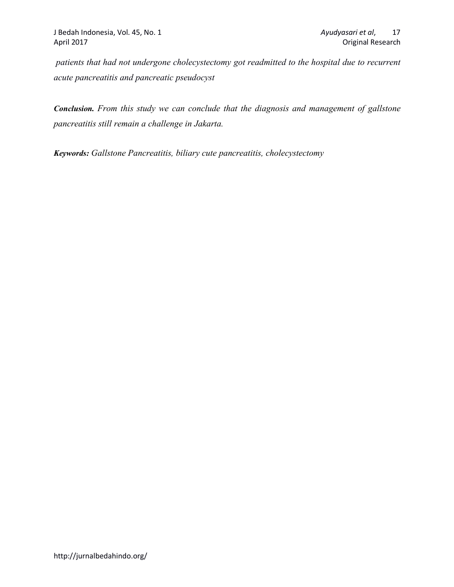*patients that had not undergone cholecystectomy got readmitted to the hospital due to recurrent acute pancreatitis and pancreatic pseudocyst*

*Conclusion. From this study we can conclude that the diagnosis and management of gallstone pancreatitis still remain a challenge in Jakarta.*

*Keywords: Gallstone Pancreatitis, biliary cute pancreatitis, cholecystectomy*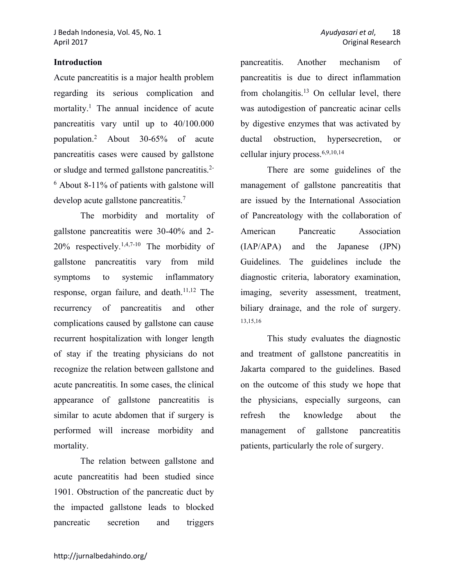# **Introduction**

Acute pancreatitis is a major health problem regarding its serious complication and mortality.<sup>1</sup> The annual incidence of acute pancreatitis vary until up to 40/100.000 population.2 About 30-65% of acute pancreatitis cases were caused by gallstone or sludge and termed gallstone pancreatitis.2- <sup>6</sup> About 8-11% of patients with galstone will develop acute gallstone pancreatitis.7

The morbidity and mortality of gallstone pancreatitis were 30-40% and 2- 20% respectively.1,4,7-10 The morbidity of gallstone pancreatitis vary from mild symptoms to systemic inflammatory response, organ failure, and death.<sup>11,12</sup> The recurrency of pancreatitis and other complications caused by gallstone can cause recurrent hospitalization with longer length of stay if the treating physicians do not recognize the relation between gallstone and acute pancreatitis. In some cases, the clinical appearance of gallstone pancreatitis is similar to acute abdomen that if surgery is performed will increase morbidity and mortality.

The relation between gallstone and acute pancreatitis had been studied since 1901. Obstruction of the pancreatic duct by the impacted gallstone leads to blocked pancreatic secretion and triggers

pancreatitis. Another mechanism of pancreatitis is due to direct inflammation from cholangitis.<sup>13</sup> On cellular level, there was autodigestion of pancreatic acinar cells by digestive enzymes that was activated by ductal obstruction, hypersecretion, or cellular injury process.6,9,10,14

There are some guidelines of the management of gallstone pancreatitis that are issued by the International Association of Pancreatology with the collaboration of American Pancreatic Association (IAP/APA) and the Japanese (JPN) Guidelines. The guidelines include the diagnostic criteria, laboratory examination, imaging, severity assessment, treatment, biliary drainage, and the role of surgery. 13,15,16

This study evaluates the diagnostic and treatment of gallstone pancreatitis in Jakarta compared to the guidelines. Based on the outcome of this study we hope that the physicians, especially surgeons, can refresh the knowledge about the management of gallstone pancreatitis patients, particularly the role of surgery.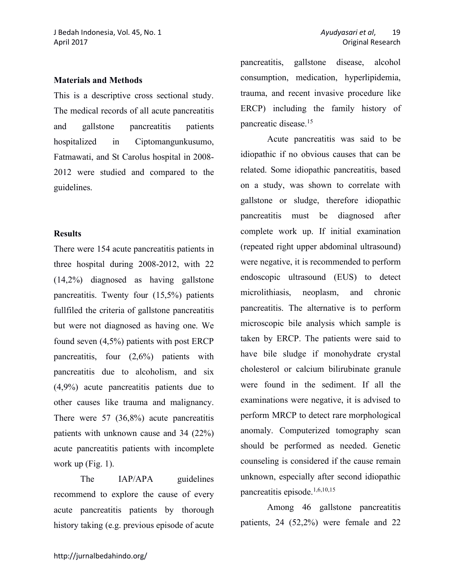#### **Materials and Methods**

This is a descriptive cross sectional study. The medical records of all acute pancreatitis and gallstone pancreatitis patients hospitalized in Ciptomangunkusumo, Fatmawati, and St Carolus hospital in 2008- 2012 were studied and compared to the guidelines.

# **Results**

There were 154 acute pancreatitis patients in three hospital during 2008-2012, with 22 (14,2%) diagnosed as having gallstone pancreatitis. Twenty four (15,5%) patients fullfiled the criteria of gallstone pancreatitis but were not diagnosed as having one. We found seven (4,5%) patients with post ERCP pancreatitis, four (2,6%) patients with pancreatitis due to alcoholism, and six (4,9%) acute pancreatitis patients due to other causes like trauma and malignancy. There were 57 (36,8%) acute pancreatitis patients with unknown cause and 34 (22%) acute pancreatitis patients with incomplete work up (Fig. 1).

The IAP/APA guidelines recommend to explore the cause of every acute pancreatitis patients by thorough history taking (e.g. previous episode of acute

pancreatitis, gallstone disease, alcohol consumption, medication, hyperlipidemia, trauma, and recent invasive procedure like ERCP) including the family history of pancreatic disease.15

Acute pancreatitis was said to be idiopathic if no obvious causes that can be related. Some idiopathic pancreatitis, based on a study, was shown to correlate with gallstone or sludge, therefore idiopathic pancreatitis must be diagnosed after complete work up. If initial examination (repeated right upper abdominal ultrasound) were negative, it is recommended to perform endoscopic ultrasound (EUS) to detect microlithiasis, neoplasm, and chronic pancreatitis. The alternative is to perform microscopic bile analysis which sample is taken by ERCP. The patients were said to have bile sludge if monohydrate crystal cholesterol or calcium bilirubinate granule were found in the sediment. If all the examinations were negative, it is advised to perform MRCP to detect rare morphological anomaly. Computerized tomography scan should be performed as needed. Genetic counseling is considered if the cause remain unknown, especially after second idiopathic pancreatitis episode.1,6,10,15

Among 46 gallstone pancreatitis patients, 24 (52,2%) were female and 22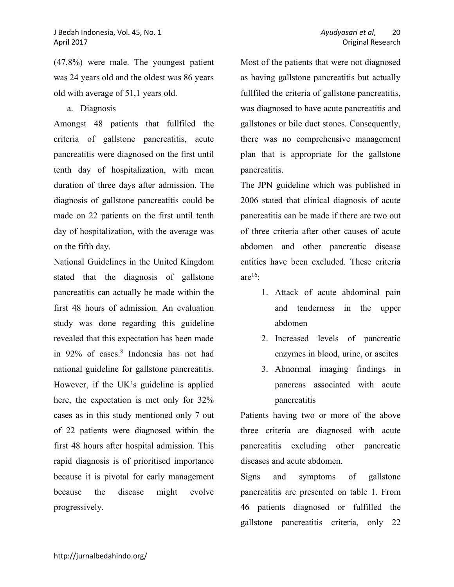(47,8%) were male. The youngest patient was 24 years old and the oldest was 86 years old with average of 51,1 years old.

a. Diagnosis

Amongst 48 patients that fullfiled the criteria of gallstone pancreatitis, acute pancreatitis were diagnosed on the first until tenth day of hospitalization, with mean duration of three days after admission. The diagnosis of gallstone pancreatitis could be made on 22 patients on the first until tenth day of hospitalization, with the average was on the fifth day.

National Guidelines in the United Kingdom stated that the diagnosis of gallstone pancreatitis can actually be made within the first 48 hours of admission. An evaluation study was done regarding this guideline revealed that this expectation has been made in 92% of cases. <sup>8</sup> Indonesia has not had national guideline for gallstone pancreatitis. However, if the UK's guideline is applied here, the expectation is met only for 32% cases as in this study mentioned only 7 out of 22 patients were diagnosed within the first 48 hours after hospital admission. This rapid diagnosis is of prioritised importance because it is pivotal for early management because the disease might evolve progressively.

Most of the patients that were not diagnosed as having gallstone pancreatitis but actually fullfiled the criteria of gallstone pancreatitis, was diagnosed to have acute pancreatitis and gallstones or bile duct stones. Consequently, there was no comprehensive management plan that is appropriate for the gallstone pancreatitis.

The JPN guideline which was published in 2006 stated that clinical diagnosis of acute pancreatitis can be made if there are two out of three criteria after other causes of acute abdomen and other pancreatic disease entities have been excluded. These criteria are $16$ :

- 1. Attack of acute abdominal pain and tenderness in the upper abdomen
- 2. Increased levels of pancreatic enzymes in blood, urine, or ascites
- 3. Abnormal imaging findings in pancreas associated with acute pancreatitis

Patients having two or more of the above three criteria are diagnosed with acute pancreatitis excluding other pancreatic diseases and acute abdomen.

Signs and symptoms of gallstone pancreatitis are presented on table 1. From 46 patients diagnosed or fulfilled the gallstone pancreatitis criteria, only 22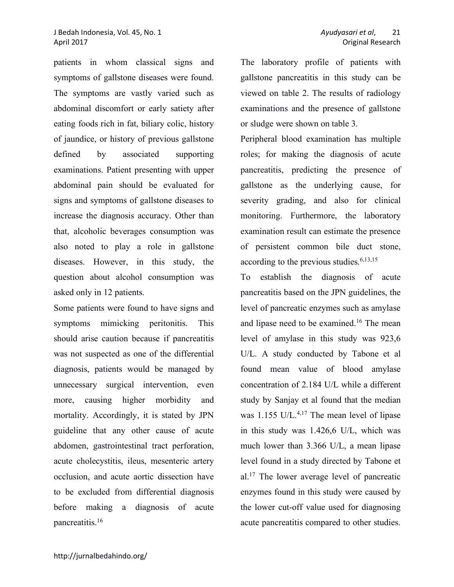#### J Bedah Indonesia, Vol. 45, No. 1 *Ayudyasari et al*, 21 April 2017 Original Research

patients in whom classical signs and symptoms of gallstone diseases were found. The symptoms are vastly varied such as abdominal discomfort or early satiety after eating foods rich in fat, biliary colic, history of jaundice, or history of previous gallstone defined by associated supporting examinations. Patient presenting with upper abdominal pain should be evaluated for signs and symptoms of gallstone diseases to increase the diagnosis accuracy. Other than that, alcoholic beverages consumption was also noted to play a role in gallstone diseases. However, in this study, the question about alcohol consumption was asked only in 12 patients.

Some patients were found to have signs and symptoms mimicking peritonitis. This should arise caution because if pancreatitis was not suspected as one of the differential diagnosis, patients would be managed by unnecessary surgical intervention, even more, causing higher morbidity and mortality. Accordingly, it is stated by JPN guideline that any other cause of acute abdomen, gastrointestinal tract perforation, acute cholecystitis, ileus, mesenteric artery occlusion, and acute aortic dissection have to be excluded from differential diagnosis before making a diagnosis of acute pancreatitis.16

The laboratory profile of patients with gallstone pancreatitis in this study can be viewed on table 2. The results of radiology examinations and the presence of gallstone or sludge were shown on table 3.

Peripheral blood examination has multiple roles; for making the diagnosis of acute pancreatitis, predicting the presence of gallstone as the underlying cause, for severity grading, and also for clinical monitoring. Furthermore, the laboratory examination result can estimate the presence of persistent common bile duct stone, according to the previous studies.<sup>6,13,15</sup>

To establish the diagnosis of acute pancreatitis based on the JPN guidelines, the level of pancreatic enzymes such as amylase and lipase need to be examined.<sup>16</sup> The mean level of amylase in this study was 923,6 U/L. A study conducted by Tabone et al found mean value of blood amylase concentration of 2.184 U/L while a different study by Sanjay et al found that the median was 1.155 U/L.<sup>4,17</sup> The mean level of lipase in this study was 1.426,6 U/L, which was much lower than 3.366 U/L, a mean lipase level found in a study directed by Tabone et al.17 The lower average level of pancreatic enzymes found in this study were caused by the lower cut-off value used for diagnosing acute pancreatitis compared to other studies.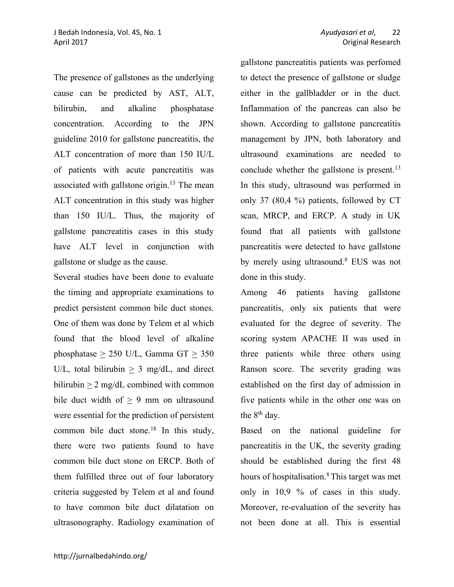The presence of gallstones as the underlying cause can be predicted by AST, ALT, bilirubin, and alkaline phosphatase concentration. According to the JPN guideline 2010 for gallstone pancreatitis, the ALT concentration of more than 150 IU/L of patients with acute pancreatitis was associated with gallstone origin.13 The mean ALT concentration in this study was higher than 150 IU/L. Thus, the majority of gallstone pancreatitis cases in this study have ALT level in conjunction with gallstone or sludge as the cause.

Several studies have been done to evaluate the timing and appropriate examinations to predict persistent common bile duct stones. One of them was done by Telem et al which found that the blood level of alkaline phosphatase  $\geq$  250 U/L, Gamma GT  $\geq$  350 U/L, total bilirubin  $> 3$  mg/dL, and direct bilirubin > 2 mg/dL combined with common bile duct width of > 9 mm on ultrasound were essential for the prediction of persistent common bile duct stone. <sup>18</sup> In this study, there were two patients found to have common bile duct stone on ERCP. Both of them fulfilled three out of four laboratory criteria suggested by Telem et al and found to have common bile duct dilatation on ultrasonography. Radiology examination of gallstone pancreatitis patients was perfomed to detect the presence of gallstone or sludge either in the gallbladder or in the duct. Inflammation of the pancreas can also be shown. According to gallstone pancreatitis management by JPN, both laboratory and ultrasound examinations are needed to conclude whether the gallstone is present.<sup>13</sup> In this study, ultrasound was performed in only 37 (80,4 %) patients, followed by CT scan, MRCP, and ERCP. A study in UK found that all patients with gallstone pancreatitis were detected to have gallstone by merely using ultrasound. <sup>8</sup> EUS was not done in this study.

Among 46 patients having gallstone pancreatitis, only six patients that were evaluated for the degree of severity. The scoring system APACHE II was used in three patients while three others using Ranson score. The severity grading was established on the first day of admission in five patients while in the other one was on the 8<sup>th</sup> day.

Based on the national guideline for pancreatitis in the UK, the severity grading should be established during the first 48 hours of hospitalisation.<sup>8</sup> This target was met only in 10,9 % of cases in this study. Moreover, re-evaluation of the severity has not been done at all. This is essential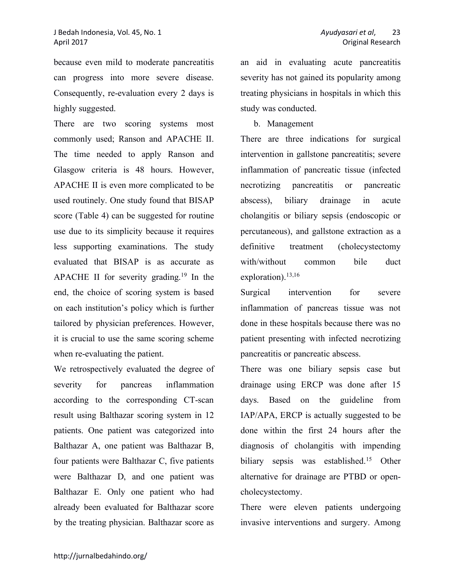because even mild to moderate pancreatitis can progress into more severe disease. Consequently, re-evaluation every 2 days is highly suggested.

There are two scoring systems most commonly used; Ranson and APACHE II. The time needed to apply Ranson and Glasgow criteria is 48 hours. However, APACHE II is even more complicated to be used routinely. One study found that BISAP score (Table 4) can be suggested for routine use due to its simplicity because it requires less supporting examinations. The study evaluated that BISAP is as accurate as APACHE II for severity grading.<sup>19</sup> In the end, the choice of scoring system is based on each institution's policy which is further tailored by physician preferences. However, it is crucial to use the same scoring scheme when re-evaluating the patient.

We retrospectively evaluated the degree of severity for pancreas inflammation according to the corresponding CT-scan result using Balthazar scoring system in 12 patients. One patient was categorized into Balthazar A, one patient was Balthazar B, four patients were Balthazar C, five patients were Balthazar D, and one patient was Balthazar E. Only one patient who had already been evaluated for Balthazar score by the treating physician. Balthazar score as an aid in evaluating acute pancreatitis severity has not gained its popularity among treating physicians in hospitals in which this study was conducted.

# b. Management

There are three indications for surgical intervention in gallstone pancreatitis; severe inflammation of pancreatic tissue (infected necrotizing pancreatitis or pancreatic abscess), biliary drainage in acute cholangitis or biliary sepsis (endoscopic or percutaneous), and gallstone extraction as a definitive treatment (cholecystectomy with/without common bile duct exploration).<sup>13,16</sup>

Surgical intervention for severe inflammation of pancreas tissue was not done in these hospitals because there was no patient presenting with infected necrotizing pancreatitis or pancreatic abscess.

There was one biliary sepsis case but drainage using ERCP was done after 15 days. Based on the guideline from IAP/APA, ERCP is actually suggested to be done within the first 24 hours after the diagnosis of cholangitis with impending biliary sepsis was established.<sup>15</sup> Other alternative for drainage are PTBD or opencholecystectomy.

There were eleven patients undergoing invasive interventions and surgery. Among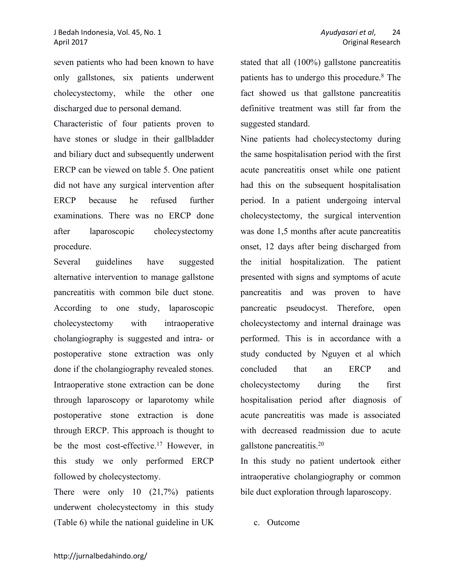seven patients who had been known to have only gallstones, six patients underwent cholecystectomy, while the other one discharged due to personal demand.

Characteristic of four patients proven to have stones or sludge in their gallbladder and biliary duct and subsequently underwent ERCP can be viewed on table 5. One patient did not have any surgical intervention after ERCP because he refused further examinations. There was no ERCP done after laparoscopic cholecystectomy procedure.

Several guidelines have suggested alternative intervention to manage gallstone pancreatitis with common bile duct stone. According to one study, laparoscopic cholecystectomy with intraoperative cholangiography is suggested and intra- or postoperative stone extraction was only done if the cholangiography revealed stones. Intraoperative stone extraction can be done through laparoscopy or laparotomy while postoperative stone extraction is done through ERCP. This approach is thought to be the most cost-effective.<sup>17</sup> However, in this study we only performed ERCP followed by cholecystectomy.

There were only 10 (21,7%) patients underwent cholecystectomy in this study (Table 6) while the national guideline in UK

stated that all (100%) gallstone pancreatitis patients has to undergo this procedure.8 The fact showed us that gallstone pancreatitis definitive treatment was still far from the suggested standard.

Nine patients had cholecystectomy during the same hospitalisation period with the first acute pancreatitis onset while one patient had this on the subsequent hospitalisation period. In a patient undergoing interval cholecystectomy, the surgical intervention was done 1,5 months after acute pancreatitis onset, 12 days after being discharged from the initial hospitalization. The patient presented with signs and symptoms of acute pancreatitis and was proven to have pancreatic pseudocyst. Therefore, open cholecystectomy and internal drainage was performed. This is in accordance with a study conducted by Nguyen et al which concluded that an ERCP and cholecystectomy during the first hospitalisation period after diagnosis of acute pancreatitis was made is associated with decreased readmission due to acute gallstone pancreatitis.20

In this study no patient undertook either intraoperative cholangiography or common bile duct exploration through laparoscopy.

c. Outcome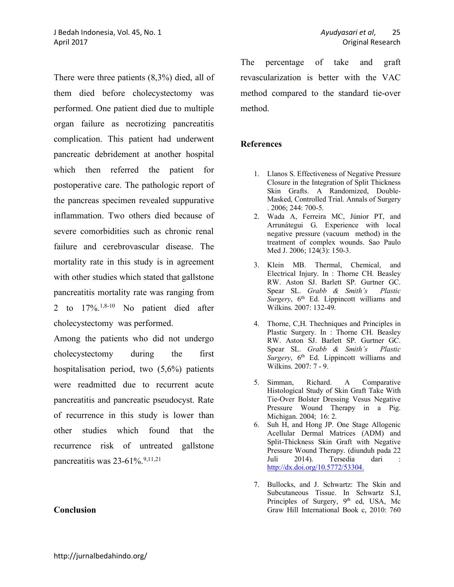There were three patients (8,3%) died, all of them died before cholecystectomy was performed. One patient died due to multiple organ failure as necrotizing pancreatitis complication. This patient had underwent pancreatic debridement at another hospital which then referred the patient for postoperative care. The pathologic report of the pancreas specimen revealed suppurative inflammation. Two others died because of severe comorbidities such as chronic renal failure and cerebrovascular disease. The mortality rate in this study is in agreement with other studies which stated that gallstone pancreatitis mortality rate was ranging from 2 to  $17\%$ ,  $1.8-10$  No patient died after cholecystectomy was performed.

Among the patients who did not undergo cholecystectomy during the first hospitalisation period, two (5,6%) patients were readmitted due to recurrent acute pancreatitis and pancreatic pseudocyst. Rate of recurrence in this study is lower than other studies which found that the recurrence risk of untreated gallstone pancreatitis was 23-61%. 9,11,21

#### **Conclusion**

The percentage of take and graft revascularization is better with the VAC method compared to the standard tie-over method.

#### **References**

- 1. Llanos S. Effectiveness of Negative Pressure Closure in the Integration of Split Thickness Skin Grafts. A Randomized, Double-Masked, Controlled Trial. Annals of Surgery . 2006; 244: 700-5.
- 2. Wada A, Ferreira MC, Júnior PT, and Arrunátegui G. Experience with local negative pressure (vacuum method) in the treatment of complex wounds. Sao Paulo Med J. 2006; 124(3): 150-3.
- 3. Klein MB. Thermal, Chemical, and Electrical Injury. In : Thorne CH. Beasley RW. Aston SJ. Barlett SP. Gurtner GC. Spear SL. *Grabb & Smith's Plastic Surgery*, 6<sup>th</sup> Ed. Lippincott williams and Wilkins. 2007: 132-49.
- 4. Thorne, C,H. Thechniques and Principles in Plastic Surgery. In : Thorne CH. Beasley RW. Aston SJ. Barlett SP. Gurtner GC. Spear SL. *Grabb & Smith's Plastic Surgery*, 6<sup>th</sup> Ed. Lippincott williams and Wilkins. 2007: 7 - 9.
- 5. Simman, Richard. A Comparative Histological Study of Skin Graft Take With Tie-Over Bolster Dressing Vesus Negative Pressure Wound Therapy in a Pig. Michigan. 2004; 16: 2.
- 6. Suh H, and Hong JP. One Stage Allogenic Acellular Dermal Matrices (ADM) and Split-Thickness Skin Graft with Negative Pressure Wound Therapy. (diunduh pada 22 Juli 2014). Tersedia dari : http://dx.doi.org/10.5772/53304.
- 7. Bullocks, and J. Schwartz: The Skin and Subcutaneous Tissue. In Schwartz S.I, Principles of Surgery, 9<sup>th</sup> ed, USA, Mc Graw Hill International Book c, 2010: 760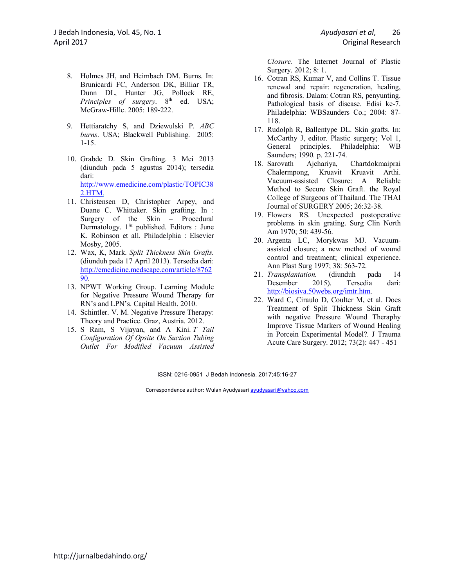- 8. Holmes JH, and Heimbach DM. Burns. In: Brunicardi FC, Anderson DK, Billiar TR, Dunn DL, Hunter JG, Pollock RE, *Principles of surgery*. 8<sup>th</sup> ed. USA; McGraw-Hillc. 2005: 189-222.
- 9. Hettiaratchy S, and Dziewulski P. *ABC burns*. USA; Blackwell Publishing. 2005: 1-15.
- 10. Grabde D. Skin Grafting. 3 Mei 2013 (diunduh pada 5 agustus 2014); tersedia dari: http://www.emedicine.com/plastic/TOPIC38 2.HTM.
- 11. Christensen D, Christopher Arpey, and Duane C. Whittaker. Skin grafting. In : Surgery of the Skin – Procedural Dermatology. 1<sup>St</sup> published. Editors : June K. Robinson et all. Philadelphia : Elsevier Mosby, 2005.
- 12. Wax, K, Mark. *Split Thickness Skin Grafts.*  (diunduh pada 17 April 2013). Tersedia dari: http://emedicine.medscape.com/article/8762 90.
- 13. NPWT Working Group. Learning Module for Negative Pressure Wound Therapy for RN's and LPN's. Capital Health. 2010.
- 14. Schintler. V. M. Negative Pressure Therapy: Theory and Practice. Graz, Austria. 2012.
- 15. S Ram, S Vijayan, and A Kini. *T Tail Configuration Of Opsite On Suction Tubing Outlet For Modified Vacuum Assisted*

*Closure.* The Internet Journal of Plastic Surgery. 2012; 8: 1.

- 16. Cotran RS, Kumar V, and Collins T. Tissue renewal and repair: regeneration, healing, and fibrosis. Dalam: Cotran RS, penyunting. Pathological basis of disease. Edisi ke-7. Philadelphia: WBSaunders Co.; 2004: 87- 118.
- 17. Rudolph R, Ballentype DL. Skin grafts. In: McCarthy J, editor. Plastic surgery; Vol 1, General principles. Philadelphia: WB Saunders; 1990. p. 221-74.
- 18. Sarovath Ajchariya, Chartdokmaiprai Chalermpong, Kruavit Kruavit Arthi. Vacuum-assisted Closure: A Reliable Method to Secure Skin Graft. the Royal College of Surgeons of Thailand. The THAI Journal of SURGERY 2005; 26:32-38.
- 19. Flowers RS. Unexpected postoperative problems in skin grating. Surg Clin North Am 1970; 50: 439-56.
- 20. Argenta LC, Morykwas MJ. Vacuumassisted closure; a new method of wound control and treatment; clinical experience. Ann Plast Surg 1997; 38: 563-72.
- 21. *Transplantation.* (diunduh pada 14 Desember 2015). Tersedia dari: http://biosiva.50webs.org/imtr.htm.
- 22. Ward C, Ciraulo D, Coulter M, et al. Does Treatment of Split Thickness Skin Graft with negative Pressure Wound Theraphy Improve Tissue Markers of Wound Healing in Porcein Experimental Model?. J Trauma Acute Care Surgery. 2012; 73(2): 447 - 451

ISSN: 0216-0951 J Bedah Indonesia. 2017;45:16-27

Correspondence author: Wulan Ayudyasari ayudyasari@yahoo.com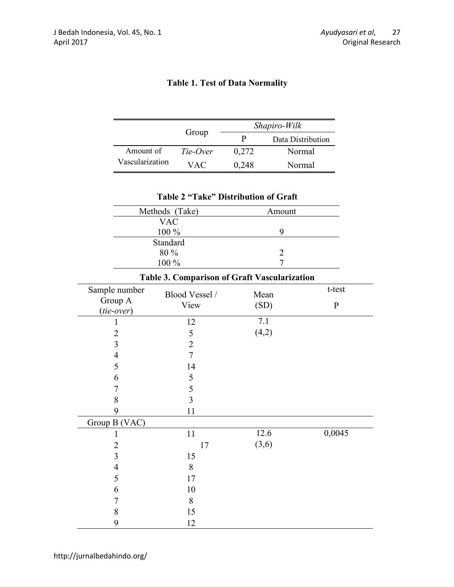|                                              |                | $\mathsf{u}_\mathsf{v}$                     | $\mathbf{P}$ | Data Distribution   |              |
|----------------------------------------------|----------------|---------------------------------------------|--------------|---------------------|--------------|
| Amount of                                    |                | Tie-Over                                    | 0,272        | Normal              |              |
| Vascularization                              |                | <b>VAC</b>                                  | 0,248        | Normal              |              |
|                                              |                |                                             |              |                     |              |
|                                              |                | <b>Table 2 "Take" Distribution of Graft</b> |              |                     |              |
|                                              | Methods (Take) |                                             |              | Amount              |              |
|                                              | <b>VAC</b>     |                                             |              |                     |              |
|                                              | 100 %          |                                             |              | 9                   |              |
|                                              | Standard       |                                             |              |                     |              |
|                                              | 80 %<br>100 %  |                                             |              | $\overline{2}$<br>7 |              |
|                                              |                |                                             |              |                     |              |
| Table 3. Comparison of Graft Vascularization |                |                                             |              |                     |              |
| Sample number                                |                | Blood Vessel /                              | Mean         |                     | t-test       |
| Group A<br>$(tie-over)$                      |                | View                                        |              | (SD)                | $\mathbf{P}$ |
| 1                                            |                | 12                                          | 7.1          |                     |              |
| $\overline{2}$                               |                | 5                                           |              | (4,2)               |              |
| 3                                            |                | $\overline{2}$                              |              |                     |              |
| $\overline{4}$                               |                | $\overline{7}$                              |              |                     |              |
| 5                                            |                | 14                                          |              |                     |              |
| 6                                            |                | 5                                           |              |                     |              |
| 7                                            |                | 5                                           |              |                     |              |
| 8                                            |                | $\overline{3}$                              |              |                     |              |
| 9                                            |                | 11                                          |              |                     |              |
| Group B (VAC)                                |                |                                             |              |                     |              |
| 1                                            |                | 11                                          |              | 12.6                | 0,0045       |
| $\overline{c}$                               |                | 17                                          |              | (3,6)               |              |
| 3                                            |                | 15                                          |              |                     |              |
| $\overline{4}$                               |                | $\,$ $\,$                                   |              |                     |              |
| 5                                            |                | $17\,$                                      |              |                     |              |
| 6                                            |                | $10\,$                                      |              |                     |              |
| $\sqrt{ }$                                   |                | $8\,$                                       |              |                     |              |
| 8                                            |                | 15                                          |              |                     |              |
| 9                                            |                | 12                                          |              |                     |              |

# **Table 1. Test of Data Normality**

Group **Shapiro-Wilk**<br>P Data Distr